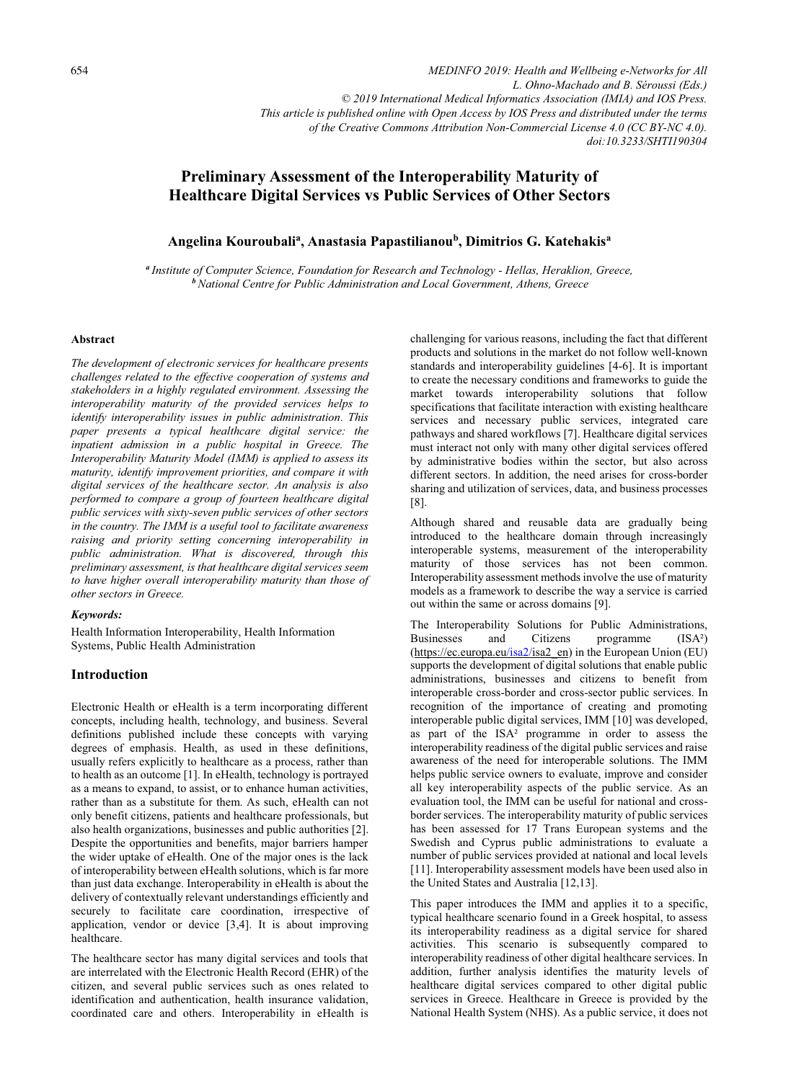*MEDINFO 2019: Health and Wellbeing e-Networks for All L. Ohno-Machado and B. Séroussi (Eds.) © 2019 International Medical Informatics Association (IMIA) and IOS Press. This article is published online with Open Access by IOS Press and distributed under the terms of the Creative Commons Attribution Non-Commercial License 4.0 (CC BY-NC 4.0). doi:10.3233/SHTI190304*

# **Preliminary Assessment of the Interoperability Maturity of Healthcare Digital Services vs Public Services of Other Sectors**

# **Angelina Kouroubalia, Anastasia Papastilianoub, Dimitrios G. Katehakisa**

*<sup>a</sup>Institute of Computer Science, Foundation for Research and Technology - Hellas, Heraklion, Greece, <sup>b</sup>National Centre for Public Administration and Local Government, Athens, Greece* 

#### **Abstract**

*The development of electronic services for healthcare presents challenges related to the effective cooperation of systems and stakeholders in a highly regulated environment. Assessing the interoperability maturity of the provided services helps to identify interoperability issues in public administration. This paper presents a typical healthcare digital service: the inpatient admission in a public hospital in Greece. The Interoperability Maturity Model (IMM) is applied to assess its maturity, identify improvement priorities, and compare it with digital services of the healthcare sector. An analysis is also performed to compare a group of fourteen healthcare digital public services with sixty-seven public services of other sectors in the country. The IMM is a useful tool to facilitate awareness raising and priority setting concerning interoperability in public administration. What is discovered, through this preliminary assessment, is that healthcare digital services seem to have higher overall interoperability maturity than those of other sectors in Greece.* 

### *Keywords:*

Health Information Interoperability, Health Information Systems, Public Health Administration

### **Introduction**

Electronic Health or eHealth is a term incorporating different concepts, including health, technology, and business. Several definitions published include these concepts with varying degrees of emphasis. Health, as used in these definitions, usually refers explicitly to healthcare as a process, rather than to health as an outcome [1]. In eHealth, technology is portrayed as a means to expand, to assist, or to enhance human activities, rather than as a substitute for them. As such, eHealth can not only benefit citizens, patients and healthcare professionals, but also health organizations, businesses and public authorities [2]. Despite the opportunities and benefits, major barriers hamper the wider uptake of eHealth. One of the major ones is the lack of interoperability between eHealth solutions, which is far more than just data exchange. Interoperability in eHealth is about the delivery of contextually relevant understandings efficiently and securely to facilitate care coordination, irrespective of application, vendor or device [3,4]. It is about improving healthcare.

The healthcare sector has many digital services and tools that are interrelated with the Electronic Health Record (EHR) of the citizen, and several public services such as ones related to identification and authentication, health insurance validation, coordinated care and others. Interoperability in eHealth is challenging for various reasons, including the fact that different products and solutions in the market do not follow well-known standards and interoperability guidelines [4-6]. It is important to create the necessary conditions and frameworks to guide the market towards interoperability solutions that follow specifications that facilitate interaction with existing healthcare services and necessary public services, integrated care pathways and shared workflows [7]. Healthcare digital services must interact not only with many other digital services offered by administrative bodies within the sector, but also across different sectors. In addition, the need arises for cross-border sharing and utilizati[on of s](https://ec.europa.eu/isa2/isa2_en)ervices, data, and business processes [8].

Although shared and reusable data are gradually being introduced to the healthcare domain through increasingly interoperable systems, measurement of the interoperability maturity of those services has not been common. Interoperability assessment methods involve the use of maturity models as a framework to describe the way a service is carried out within the same or across domains [9].

The Interoperability Solutions for Public Administrations,<br>Businesses and Citizens programme  $(ISA^2)$ Businesses and Citizens programme (ISA²) (https://ec.europa.eu/isa2/isa2\_en) in the European Union (EU) supports the development of digital solutions that enable public administrations, businesses and citizens to benefit from interoperable cross-border and cross-sector public services. In recognition of the importance of creating and promoting interoperable public digital services, ΙΜΜ [10] was developed, as part of the ISA² programme in order to assess the interoperability readiness of the digital public services and raise awareness of the need for interoperable solutions. The IMM helps public service owners to evaluate, improve and consider all key interoperability aspects of the public service. As an evaluation tool, the IMM can be useful for national and crossborder services. The interoperability maturity of public services has been assessed for 17 Trans European systems and the Swedish and Cyprus public administrations to evaluate a number of public services provided at national and local levels [11]. Interoperability assessment models have been used also in the United States and Australia [12,13].

This paper introduces the IMM and applies it to a specific, typical healthcare scenario found in a Greek hospital, to assess its interoperability readiness as a digital service for shared activities. This scenario is subsequently compared to interoperability readiness of other digital healthcare services. In addition, further analysis identifies the maturity levels of healthcare digital services compared to other digital public services in Greece. Healthcare in Greece is provided by the National Health System (NHS). As a public service, it does not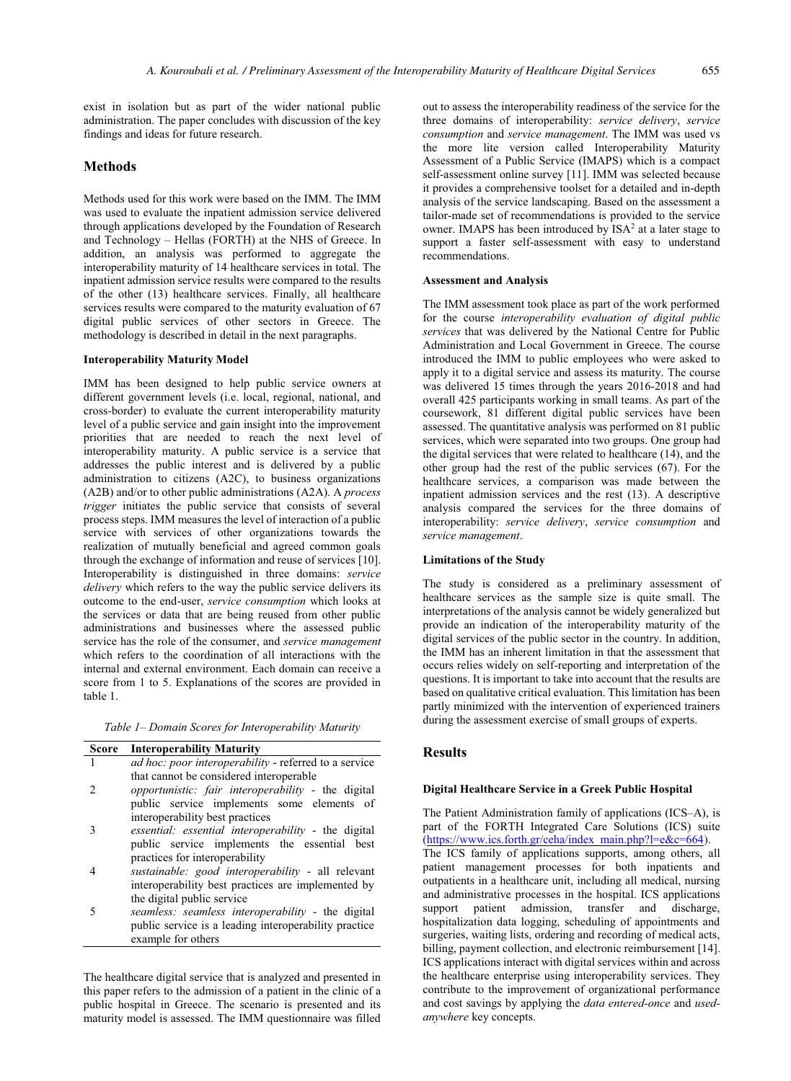exist in isolation but as part of the wider national public administration. The paper concludes with discussion of the key findings and ideas for future research.

## **Methods**

Methods used for this work were based on the IMM. The IMM was used to evaluate the inpatient admission service delivered through applications developed by the Foundation of Research and Technology – Hellas (FORTH) at the NHS of Greece. In addition, an analysis was performed to aggregate the interoperability maturity of 14 healthcare services in total. The inpatient admission service results were compared to the results of the other (13) healthcare services. Finally, all healthcare services results were compared to the maturity evaluation of 67 digital public services of other sectors in Greece. The methodology is described in detail in the next paragraphs.

### **Interoperability Maturity Model**

IMM has been designed to help public service owners at different government levels (i.e. local, regional, national, and cross-border) to evaluate the current interoperability maturity level of a public service and gain insight into the improvement priorities that are needed to reach the next level of interoperability maturity. A public service is a service that addresses the public interest and is delivered by a public administration to citizens (A2C), to business organizations (A2B) and/or to other public administrations (A2A). A *process trigger* initiates the public service that consists of several process steps. IMM measures the level of interaction of a public service with services of other organizations towards the realization of mutually beneficial and agreed common goals through the exchange of information and reuse of services [10]. Interoperability is distinguished in three domains: *service delivery* which refers to the way the public service delivers its outcome to the end-user, *service consumption* which looks at the services or data that are being reused from other public administrations and businesses where the assessed public service has the role of the consumer, and *service management* which refers to the coordination of all interactions with the internal and external environment. Each domain can receive a score from 1 to 5. Explanations of the scores are provided in table 1.

|  |  |  |  | Table 1– Domain Scores for Interoperability Maturity |  |  |
|--|--|--|--|------------------------------------------------------|--|--|
|--|--|--|--|------------------------------------------------------|--|--|

| <b>Score</b> | <b>Interoperability Maturity</b>                                                                                                                                        |
|--------------|-------------------------------------------------------------------------------------------------------------------------------------------------------------------------|
|              | ad hoc: poor interoperability - referred to a service                                                                                                                   |
| 2            | that cannot be considered interoperable<br>opportunistic: fair interoperability - the digital<br>public service implements some elements of                             |
|              | interoperability best practices<br>essential: essential interoperability - the digital<br>public service implements the essential best                                  |
|              | practices for interoperability<br>sustainable: good interoperability - all relevant<br>interoperability best practices are implemented by<br>the digital public service |

5 *seamless: seamless interoperability* - the digital public service is a leading interoperability practice example for others

The healthcare digital service that is analyzed and presented in this paper refers to the admission of a patient in the clinic of a public hospital in Greece. The scenario is presented and its maturity model is assessed. The IMM questionnaire was filled out to assess the interoperability readiness of the service for the three domains of interoperability: *service delivery*, *service consumption* and *service management*. The IMM was used vs the more lite version called Interoperability Maturity Assessment of a Public Service (IMAPS) which is a compact self-assessment online survey [11]. IMM was selected because it provides a comprehensive toolset for a detailed and in-depth analysis of the service landscaping. Based on the assessment a tailor-made set of recommendations is provided to the service owner. IMAPS has been introduced by  $ISA<sup>2</sup>$  at a later stage to support a faster self-assessment with easy to understand recommendations.

#### **Assessment and Analysis**

The IMM assessment took place as part of the work performed for the course *interoperability evaluation of digital public services* that was delivered by the National Centre for Public Administration and Local Government in Greece. The course introduced the IMM to public employees who were asked to apply it to a digital service and assess its maturity. The course was delivered 15 times through the years 2016-2018 and had overall 425 participants working in small teams. As part of the coursework, 81 different digital public services have been assessed. The quantitative analysis was performed on 81 public services, which were separated into two groups. One group had the digital services that were related to healthcare (14), and the other group had the rest of the public services (67). For the healthcare services, a comparison was made between the inpatient admission services and the rest (13). A descriptive analysis compared the services for the three domains of interoperability: *service delivery*, *service consumption* and *service management*.

### **Limitations of the Study**

The study is considered as a preliminary assessment of healthcare services as the sample size is quite small. The interpretations of the analysis cannot be widely generalized but provide an indication of the interoperability maturity of the digital services of the public sector in the country. In addition, the IMM has an inherent limitation in that the assessment that occurs relies widely on self-reporting and interpretation of the [questions. It is important to take into account that the results a](https://www.ics.forth.gr/ceha/index_main.php?l=e&c=664)re based on qualitative critical evaluation. This limitation has been partly minimized with the intervention of experienced trainers during the assessment exercise of small groups of experts.

### **Results**

#### **Digital Healthcare Service in a Greek Public Hospital**

The Patient Administration family of applications (ICS–A), is part of the FORTH Integrated Care Solutions (ICS) suite  $(\frac{https://www.ics.forth.gr/ceha/indexman.php?l=e&c=664).$ 

The ICS family of applications supports, among others, all patient management processes for both inpatients and outpatients in a healthcare unit, including all medical, nursing and administrative processes in the hospital. ICS applications support patient admission, transfer and discharge, hospitalization data logging, scheduling of appointments and surgeries, waiting lists, ordering and recording of medical acts, billing, payment collection, and electronic reimbursement [14]. ICS applications interact with digital services within and across the healthcare enterprise using interoperability services. They contribute to the improvement of organizational performance and cost savings by applying the *data entered-once* and *usedanywhere* key concepts.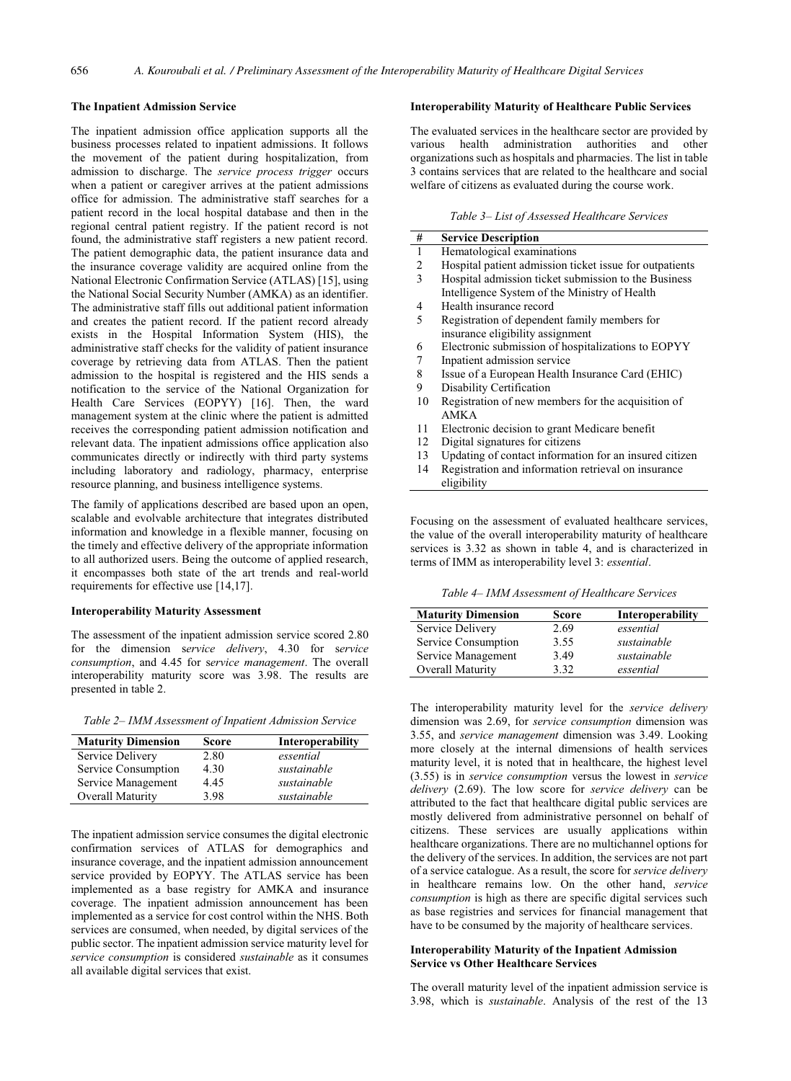#### **The Inpatient Admission Service**

The inpatient admission office application supports all the business processes related to inpatient admissions. It follows the movement of the patient during hospitalization, from admission to discharge. The *service process trigger* occurs when a patient or caregiver arrives at the patient admissions office for admission. The administrative staff searches for a patient record in the local hospital database and then in the regional central patient registry. Ιf the patient record is not found, the administrative staff registers a new patient record. The patient demographic data, the patient insurance data and the insurance coverage validity are acquired online from the National Electronic Confirmation Service (ATLAS) [15], using the National Social Security Number (AMKA) as an identifier. The administrative staff fills out additional patient information and creates the patient record. If the patient record already exists in the Hospital Information System (HIS), the administrative staff checks for the validity of patient insurance coverage by retrieving data from ATLAS. Then the patient admission to the hospital is registered and the HIS sends a notification to the service of the National Organization for Health Care Services (EOPYY) [16]. Then, the ward management system at the clinic where the patient is admitted receives the corresponding patient admission notification and relevant data. The inpatient admissions office application also communicates directly or indirectly with third party systems including laboratory and radiology, pharmacy, enterprise resource planning, and business intelligence systems.

The family of applications described are based upon an open, scalable and evolvable architecture that integrates distributed information and knowledge in a flexible manner, focusing on the timely and effective delivery of the appropriate information to all authorized users. Being the outcome of applied research, it encompasses both state of the art trends and real‐world requirements for effective use [14,17].

#### **Interoperability Maturity Assessment**

The assessment of the inpatient admission service scored 2.80 for the dimension s*ervice delivery*, 4.30 for s*ervice consumption*, and 4.45 for s*ervice management*. The overall interoperability maturity score was 3.98. The results are presented in table 2.

*Table 2– IMM Assessment of Inpatient Admission Service* 

| <b>Maturity Dimension</b> | Score | Interoperability |
|---------------------------|-------|------------------|
| Service Delivery          | 2.80  | essential        |
| Service Consumption       | 4.30  | sustainable      |
| Service Management        | 4.45  | sustainable      |
| Overall Maturity          | 3.98  | sustainable      |

The inpatient admission service consumes the digital electronic confirmation services of ATLAS for demographics and insurance coverage, and the inpatient admission announcement service provided by EOPYY. The ATLAS service has been implemented as a base registry for AMKA and insurance coverage. The inpatient admission announcement has been implemented as a service for cost control within the NHS. Both services are consumed, when needed, by digital services of the public sector. The inpatient admission service maturity level for *service consumption* is considered *sustainable* as it consumes all available digital services that exist.

#### **Interoperability Maturity of Healthcare Public Services**

The evaluated services in the healthcare sector are provided by various health administration authorities and other organizations such as hospitals and pharmacies. The list in table 3 contains services that are related to the healthcare and social welfare of citizens as evaluated during the course work.

*Table 3– List of Assessed Healthcare Services* 

| #  | <b>Service Description</b>                              |
|----|---------------------------------------------------------|
| 1  | Hematological examinations                              |
| 2  | Hospital patient admission ticket issue for outpatients |
| 3  | Hospital admission ticket submission to the Business    |
|    | Intelligence System of the Ministry of Health           |
| 4  | Health insurance record                                 |
| 5  | Registration of dependent family members for            |
|    | insurance eligibility assignment                        |
| 6  | Electronic submission of hospitalizations to EOPYY      |
| 7  | Inpatient admission service                             |
| 8  | Issue of a European Health Insurance Card (EHIC)        |
| 9  | Disability Certification                                |
| 10 | Registration of new members for the acquisition of      |
|    | AMK A                                                   |
| 11 | Electronic decision to grant Medicare benefit           |
| 12 | Digital signatures for citizens                         |
| 13 | Updating of contact information for an insured citizen  |
| 14 | Registration and information retrieval on insurance     |
|    | eligibility                                             |

Focusing on the assessment of evaluated healthcare services, the value of the overall interoperability maturity of healthcare services is 3.32 as shown in table 4, and is characterized in terms of IMM as interoperability level 3: *essential*.

*Table 4– IMM Assessment of Healthcare Services* 

| <b>Maturity Dimension</b> | <b>Score</b> | Interoperability |
|---------------------------|--------------|------------------|
| Service Delivery          | 2.69         | essential        |
| Service Consumption       | 3.55         | sustainable      |
| Service Management        | 3.49         | sustainable      |
| Overall Maturity          | 3.32         | essential        |

The interoperability maturity level for the *service delivery* dimension was 2.69, for *service consumption* dimension was 3.55, and *service management* dimension was 3.49. Looking more closely at the internal dimensions of health services maturity level, it is noted that in healthcare, the highest level (3.55) is in *service consumption* versus the lowest in *service delivery* (2.69). The low score for *service delivery* can be attributed to the fact that healthcare digital public services are mostly delivered from administrative personnel on behalf of citizens. These services are usually applications within healthcare organizations. There are no multichannel options for the delivery of the services. In addition, the services are not part of a service catalogue. As a result, the score for *service delivery* in healthcare remains low. On the other hand, *service consumption* is high as there are specific digital services such as base registries and services for financial management that have to be consumed by the majority of healthcare services.

#### **Interoperability Maturity of the Inpatient Admission Service vs Other Healthcare Services**

The overall maturity level of the inpatient admission service is 3.98, which is *sustainable*. Analysis of the rest of the 13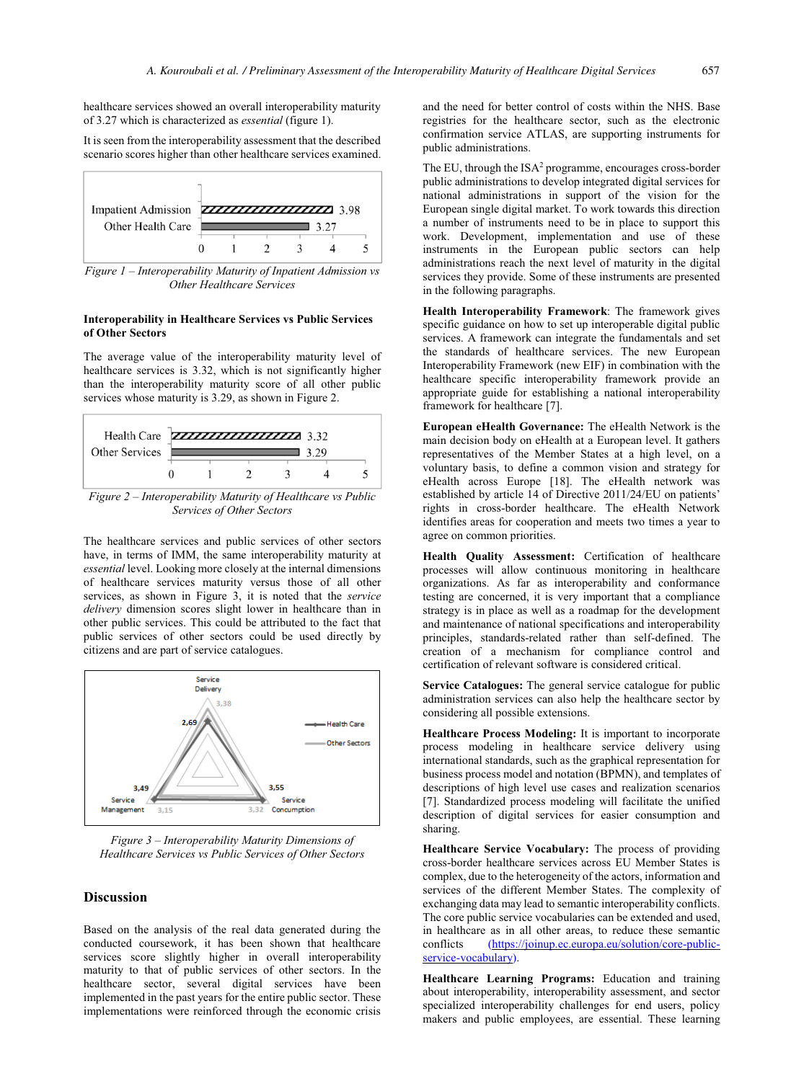healthcare services showed an overall interoperability maturity of 3.27 which is characterized as *essential* (figure 1).

It is seen from the interoperability assessment that the described scenario scores higher than other healthcare services examined.



*Figure 1 – Interoperability Maturity of Inpatient Admission vs Other Healthcare Services* 

### **Interoperability in Healthcare Services vs Public Services of Other Sectors**

The average value of the interoperability maturity level of healthcare services is 3.32, which is not significantly higher than the interoperability maturity score of all other public services whose maturity is 3.29, as shown in Figure 2.



*Figure 2 – Interoperability Maturity of Healthcare vs Public Services of Other Sectors* 

The healthcare services and public services of other sectors have, in terms of IMM, the same interoperability maturity at *essential* level. Looking more closely at the internal dimensions of healthcare services maturity versus those of all other services, as shown in Figure 3, it is noted that the *service delivery* dimension scores slight lower in healthcare than in other public services. This could be attributed to the fact that public services of other sectors could be used directly by citizens and are part of service catalogues.



*Figure 3 – Interoperability Maturity Dimensions of Healthcare Services vs Public Services of Other Sectors*

# **Discussion**

Based on the analysis of the real data generated during the conducted coursework, it has been shown that healthcare services score slightly higher in overall interoperability maturity to that of public services of other sectors. In the healthcare sector, several digital services have been implemented in the past years for the entire public sector. These implementations were reinforced through the economic crisis and the need for better control of costs within the NHS. Base registries for the healthcare sector, such as the electronic confirmation service ATLAS, are supporting instruments for public administrations.

The EU, through the  $ISA^2$  programme, encourages cross-border public administrations to develop integrated digital services for national administrations in support of the vision for the European single digital market. To work towards this direction a number of instruments need to be in place to support this work. Development, implementation and use of these instruments in the European public sectors can help administrations reach the next level of maturity in the digital services they provide. Some of these instruments are presented in the following paragraphs.

**Health Interoperability Framework**: The framework gives specific guidance on how to set up interoperable digital public services. A framework can integrate the fundamentals and set the standards of healthcare services. The new European Interoperability Framework (new EIF) in combination with the healthcare specific interoperability framework provide an appropriate guide for establishing a national interoperability framework for healthcare [7].

**European eHealth Governance:** The eHealth Network is the main decision body on eHealth at a European level. It gathers representatives of the Member States at a high level, on a voluntary basis, to define a common vision and strategy for eHealth across Europe [18]. The eHealth network was established by article 14 of Directive 2011/24/EU on patients' rights in cross-border healthcare. The eHealth Network identifies areas for cooperation and meets two times a year to agree on common priorities.

Health Quality Assessment: Certification of healthcare processes will allow continuous monitoring in healthcare organizations. As far as interoperability and conformance testing are concerned, it is very important that a compliance strategy is in place as well as a roadmap for the development and maintenance of national specifications and interoperability principles, standards-related rather than self-defined. The creation of a mechanism for compliance control and certification of relevant software is considered critical.

**Service Catalogues:** The general service catalogue for public administration services can also help the healthcare sector by considering all possible extensions.

**Healthcare Process Modeling:** It is important to incorporate process modeling in healthcare service delivery using international standards, such as the graphical representation for business process model and notation (BPMN), and templates of descriptions [of high level use cases and realization scenarios](https://joinup.ec.europa.eu/solution/core-public-service-vocabulary)  [\[7\]. Standardized p](https://joinup.ec.europa.eu/solution/core-public-service-vocabulary)rocess modeling will facilitate the unified description of digital services for easier consumption and sharing.

**Healthcare Service Vocabulary:** The process of providing cross-border healthcare services across EU Member States is complex, due to the heterogeneity of the actors, information and services of the different Member States. The complexity of exchanging data may lead to semantic interoperability conflicts. The core public service vocabularies can be extended and used, in healthcare as in all other areas, to reduce these semantic conflicts (https://joinup.ec.europa.eu/solution/core-public- $(https://joinup.ec.europa.eu/solution/core-public$ service-vocabulary).

**Healthcare Learning Programs:** Education and training about interoperability, interoperability assessment, and sector specialized interoperability challenges for end users, policy makers and public employees, are essential. These learning